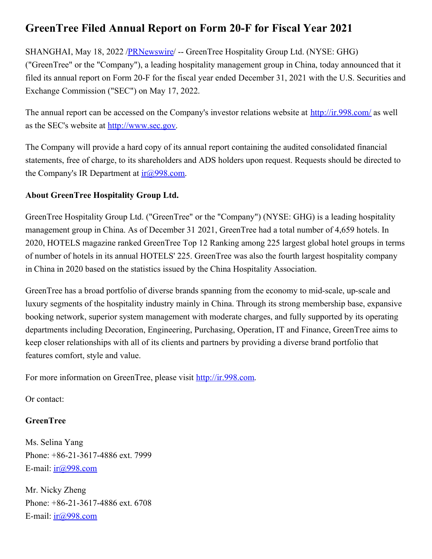## **GreenTree Filed Annual Report on Form 20-F for Fiscal Year 2021**

SHANGHAI, May 18, 2022 /**PRNewswire/** -- GreenTree Hospitality Group Ltd. (NYSE: GHG) ("GreenTree" or the "Company"), a leading hospitality management group in China, today announced that it filed its annual report on Form 20-F for the fiscal year ended December 31, 2021 with the U.S. Securities and Exchange Commission ("SEC") on May 17, 2022.

The annual report can be accessed on the Company's investor relations website at <http://ir.998.com/> as well as the SEC's website at [http://www.sec.gov](http://www.sec.gov/).

The Company will provide a hard copy of its annual report containing the audited consolidated financial statements, free of charge, to its shareholders and ADS holders upon request. Requests should be directed to the Company's IR Department at  $ir(\omega)998$ .com.

## **About GreenTree Hospitality Group Ltd.**

GreenTree Hospitality Group Ltd. ("GreenTree" or the "Company") (NYSE: GHG) is a leading hospitality management group in China. As of December 31 2021, GreenTree had a total number of 4,659 hotels. In 2020, HOTELS magazine ranked GreenTree Top 12 Ranking among 225 largest global hotel groups in terms of number of hotels in its annual HOTELS' 225. GreenTree was also the fourth largest hospitality company in China in 2020 based on the statistics issued by the China Hospitality Association.

GreenTree has a broad portfolio of diverse brands spanning from the economy to mid-scale, up-scale and luxury segments of the hospitality industry mainly in China. Through its strong membership base, expansive booking network, superior system management with moderate charges, and fully supported by its operating departments including Decoration, Engineering, Purchasing, Operation, IT and Finance, GreenTree aims to keep closer relationships with all of its clients and partners by providing a diverse brand portfolio that features comfort, style and value.

For more information on GreenTree, please visit [http://ir.998.com](http://ir.998.com/).

Or contact:

## **GreenTree**

Ms. Selina Yang Phone: +86-21-3617-4886 ext. 7999 E-mail:  $ir(\omega)998$ .com

Mr. Nicky Zheng Phone: +86-21-3617-4886 ext. 6708 E-mail:  $ir(@)998.com$